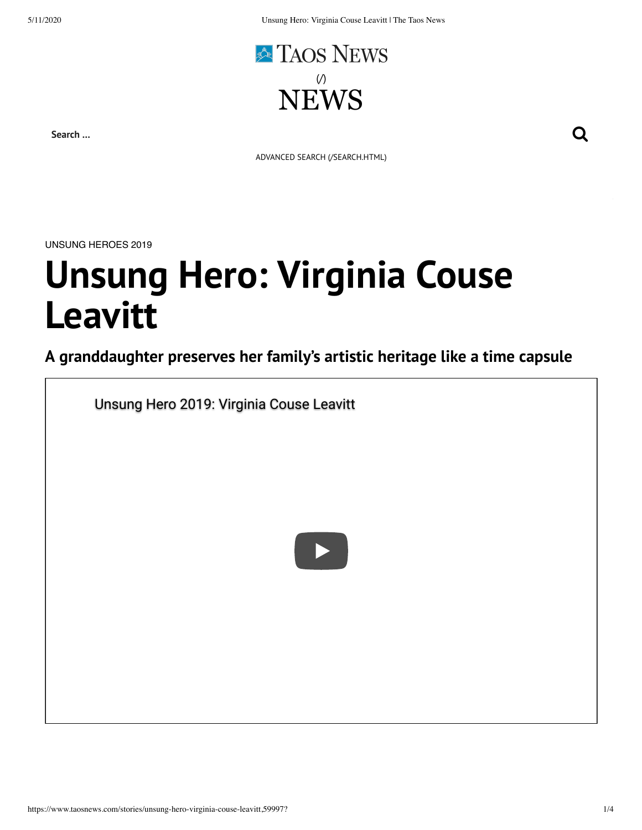

**Search …**

ADVANCED SEARCH [\(/SEARCH.HTML\)](https://www.taosnews.com/search.html)

UNSUNG HEROES 2019

## **Unsung Hero: Virginia Couse Leavitt**

## **A granddaughter preserves her family's artistic heritage like a time capsule**

[Unsung Hero 2019: Virginia Couse Leavitt](https://www.youtube.com/watch?v=1v2Y_uvxxYc)

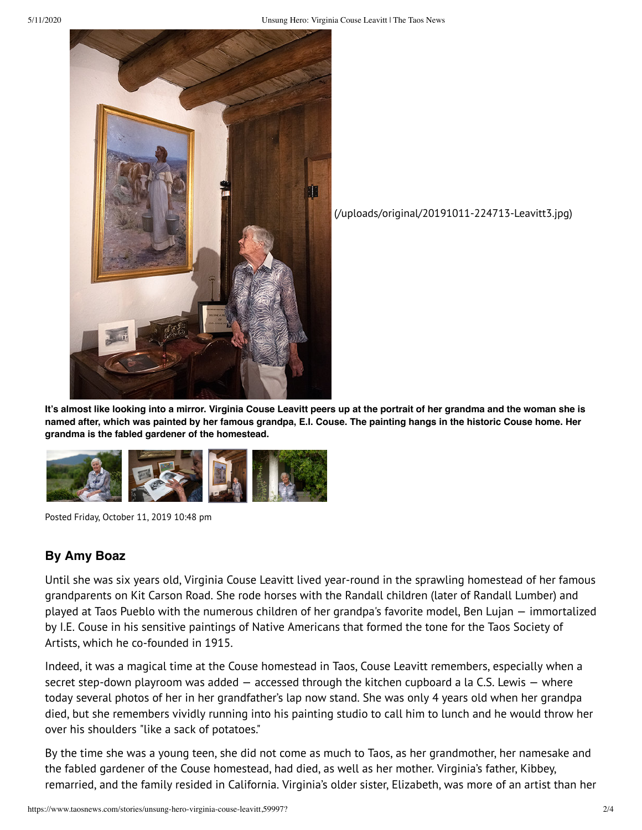

[\(/uploads/original/20191011-224713-Leavitt3.jpg\)](https://www.taosnews.com/uploads/original/20191011-224713-Leavitt3.jpg)

**It's almost like looking into a mirror. Virginia Couse Leavitt peers up at the portrait of her grandma and the woman she is named after, which was painted by her famous grandpa, E.I. Couse. The painting hangs in the historic Couse home. Her grandma is the fabled gardener of the homestead.**



Posted Friday, October 11, 2019 10:48 pm

## **By Amy Boaz**

Until she was six years old, Virginia Couse Leavitt lived year-round in the sprawling homestead of her famous grandparents on Kit Carson Road. She rode horses with the Randall children (later of Randall Lumber) and played at Taos Pueblo with the numerous children of her grandpa's favorite model, Ben Lujan — immortalized by I.E. Couse in his sensitive paintings of Native Americans that formed the tone for the Taos Society of Artists, which he co-founded in 1915.

Indeed, it was a magical time at the Couse homestead in Taos, Couse Leavitt remembers, especially when a secret step-down playroom was added — accessed through the kitchen cupboard a la C.S. Lewis — where today several photos of her in her grandfather's lap now stand. She was only 4 years old when her grandpa died, but she remembers vividly running into his painting studio to call him to lunch and he would throw her over his shoulders "like a sack of potatoes."

By the time she was a young teen, she did not come as much to Taos, as her grandmother, her namesake and the fabled gardener of the Couse homestead, had died, as well as her mother. Virginia's father, Kibbey, remarried, and the family resided in California. Virginia's older sister, Elizabeth, was more of an artist than her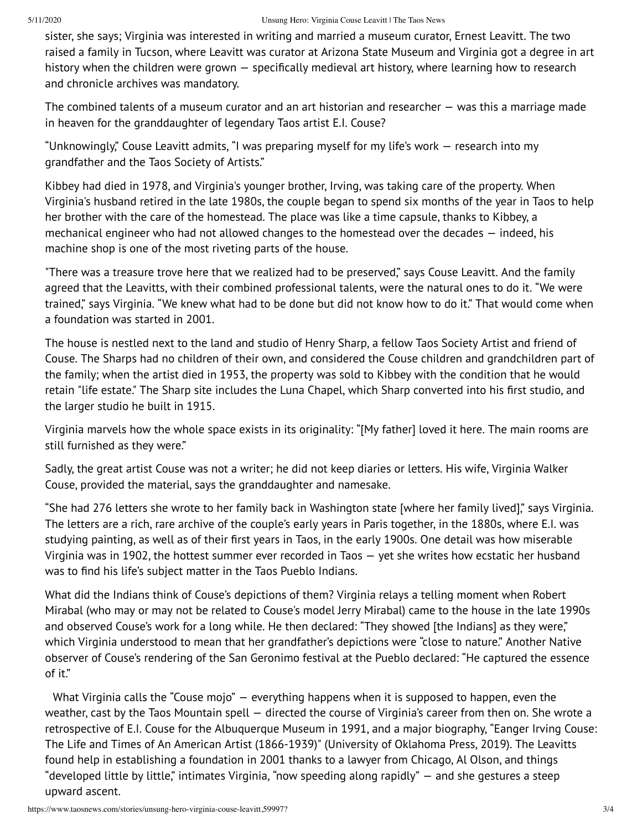sister, she says; Virginia was interested in writing and married a museum curator, Ernest Leavitt. The two raised a family in Tucson, where Leavitt was curator at Arizona State Museum and Virginia got a degree in art history when the children were grown — specifically medieval art history, where learning how to research and chronicle archives was mandatory.

The combined talents of a museum curator and an art historian and researcher — was this a marriage made in heaven for the granddaughter of legendary Taos artist E.I. Couse?

"Unknowingly," Couse Leavitt admits, "I was preparing myself for my life's work — research into my grandfather and the Taos Society of Artists."

Kibbey had died in 1978, and Virginia's younger brother, Irving, was taking care of the property. When Virginia's husband retired in the late 1980s, the couple began to spend six months of the year in Taos to help her brother with the care of the homestead. The place was like a time capsule, thanks to Kibbey, a mechanical engineer who had not allowed changes to the homestead over the decades — indeed, his machine shop is one of the most riveting parts of the house.

"There was a treasure trove here that we realized had to be preserved," says Couse Leavitt. And the family agreed that the Leavitts, with their combined professional talents, were the natural ones to do it. "We were trained," says Virginia. "We knew what had to be done but did not know how to do it." That would come when a foundation was started in 2001.

The house is nestled next to the land and studio of Henry Sharp, a fellow Taos Society Artist and friend of Couse. The Sharps had no children of their own, and considered the Couse children and grandchildren part of the family; when the artist died in 1953, the property was sold to Kibbey with the condition that he would retain "life estate." The Sharp site includes the Luna Chapel, which Sharp converted into his first studio, and the larger studio he built in 1915.

Virginia marvels how the whole space exists in its originality: "[My father] loved it here. The main rooms are still furnished as they were."

Sadly, the great artist Couse was not a writer; he did not keep diaries or letters. His wife, Virginia Walker Couse, provided the material, says the granddaughter and namesake.

"She had 276 letters she wrote to her family back in Washington state [where her family lived]," says Virginia. The letters are a rich, rare archive of the couple's early years in Paris together, in the 1880s, where E.I. was studying painting, as well as of their first years in Taos, in the early 1900s. One detail was how miserable Virginia was in 1902, the hottest summer ever recorded in Taos — yet she writes how ecstatic her husband was to find his life's subject matter in the Taos Pueblo Indians.

What did the Indians think of Couse's depictions of them? Virginia relays a telling moment when Robert Mirabal (who may or may not be related to Couse's model Jerry Mirabal) came to the house in the late 1990s and observed Couse's work for a long while. He then declared: "They showed [the Indians] as they were," which Virginia understood to mean that her grandfather's depictions were "close to nature." Another Native observer of Couse's rendering of the San Geronimo festival at the Pueblo declared: "He captured the essence of it."

What Virginia calls the "Couse mojo" – everything happens when it is supposed to happen, even the weather, cast by the Taos Mountain spell — directed the course of Virginia's career from then on. She wrote a retrospective of E.I. Couse for the Albuquerque Museum in 1991, and a major biography, "Eanger Irving Couse: The Life and Times of An American Artist (1866-1939)" (University of Oklahoma Press, 2019). The Leavitts found help in establishing a foundation in 2001 thanks to a lawyer from Chicago, Al Olson, and things "developed little by little," intimates Virginia, "now speeding along rapidly" — and she gestures a steep upward ascent.